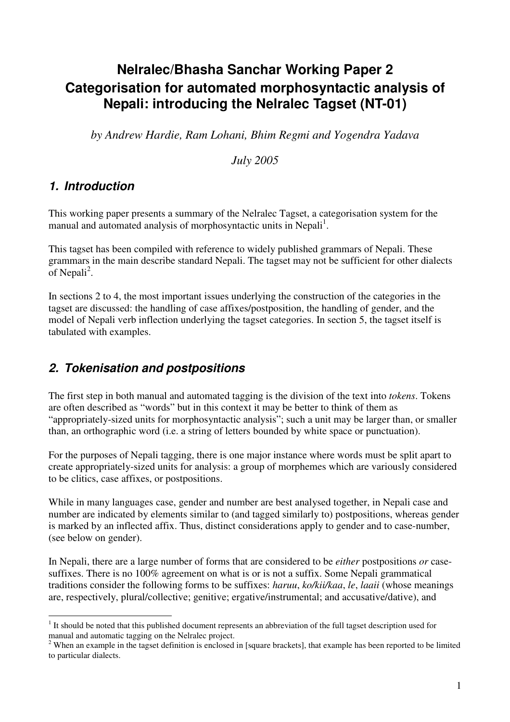# **Nelralec/Bhasha Sanchar Working Paper 2 Categorisation for automated morphosyntactic analysis of Nepali: introducing the Nelralec Tagset (NT-01)**

*by Andrew Hardie, Ram Lohani, Bhim Regmi and Yogendra Yadava*

*July 2005*

# *1. Introduction*

This working paper presents a summary of the Nelralec Tagset, a categorisation system for the manual and automated analysis of morphosyntactic units in Nepali<sup>1</sup>.

This tagset has been compiled with reference to widely published grammars of Nepali. These grammars in the main describe standard Nepali. The tagset may not be sufficient for other dialects of Nepali<sup>2</sup>.

In sections 2 to 4, the most important issues underlying the construction of the categories in the tagset are discussed: the handling of case affixes/postposition, the handling of gender, and the model of Nepali verb inflection underlying the tagset categories. In section 5, the tagset itself is tabulated with examples.

# *2. Tokenisation and postpositions*

The first step in both manual and automated tagging is the division of the text into *tokens*. Tokens are often described as "words" but in this context it may be better to think of them as "appropriately-sized units for morphosyntactic analysis"; such a unit may be larger than, or smaller than, an orthographic word (i.e. a string of letters bounded by white space or punctuation).

For the purposes of Nepali tagging, there is one major instance where words must be split apart to create appropriately-sized units for analysis: a group of morphemes which are variously considered to be clitics, case affixes, or postpositions.

While in many languages case, gender and number are best analysed together, in Nepali case and number are indicated by elements similar to (and tagged similarly to) postpositions, whereas gender is marked by an inflected affix. Thus, distinct considerations apply to gender and to case-number, (see below on gender).

In Nepali, there are a large number of forms that are considered to be *either* postpositions *or* casesuffixes. There is no 100% agreement on what is or is not a suffix. Some Nepali grammatical traditions consider the following forms to be suffixes: *haruu*, *ko/kii/kaa*, *le*, *laaii* (whose meanings are, respectively, plural/collective; genitive; ergative/instrumental; and accusative/dative), and

<sup>&</sup>lt;sup>1</sup> It should be noted that this published document represents an abbreviation of the full tagset description used for manual and automatic tagging on the Nelralec project.

<sup>&</sup>lt;sup>2</sup> When an example in the tagset definition is enclosed in [square brackets], that example has been reported to be limited to particular dialects.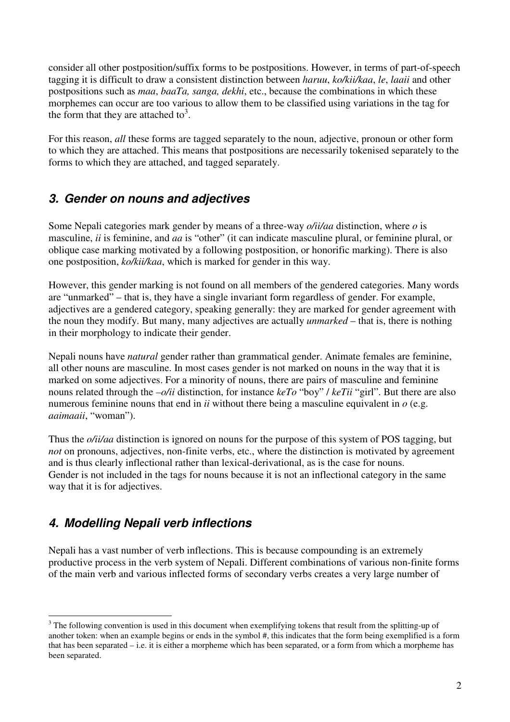consider all other postposition/suffix forms to be postpositions. However, in terms of part-of-speech tagging it is difficult to draw a consistent distinction between *haruu*, *ko/kii/kaa*, *le*, *laaii* and other postpositions such as *maa*, *baaTa, sanga, dekhi*, etc., because the combinations in which these morphemes can occur are too various to allow them to be classified using variations in the tag for the form that they are attached to<sup>3</sup>.

For this reason, *all* these forms are tagged separately to the noun, adjective, pronoun or other form to which they are attached. This means that postpositions are necessarily tokenised separately to the forms to which they are attached, and tagged separately.

#### *3. Gender on nouns and adjectives*

Some Nepali categories mark gender by means of a three-way *o/ii/aa* distinction, where *o* is masculine, *ii* is feminine, and *aa* is "other" (it can indicate masculine plural, or feminine plural, or oblique case marking motivated by a following postposition, or honorific marking). There is also one postposition, *ko/kii/kaa*, which is marked for gender in this way.

However, this gender marking is not found on all members of the gendered categories. Many words are "unmarked" – that is, they have a single invariant form regardless of gender. For example, adjectives are a gendered category, speaking generally: they are marked for gender agreement with the noun they modify. But many, many adjectives are actually *unmarked* – that is, there is nothing in their morphology to indicate their gender.

Nepali nouns have *natural* gender rather than grammatical gender. Animate females are feminine, all other nouns are masculine. In most cases gender is not marked on nouns in the way that it is marked on some adjectives. For a minority of nouns, there are pairs of masculine and feminine nouns related through the *–o/ii* distinction, for instance *keTo* "boy" / *keTii* "girl". But there are also numerous feminine nouns that end in *ii* without there being a masculine equivalent in *o* (e.g. *aaimaaii*, "woman").

Thus the *o/ii/aa* distinction is ignored on nouns for the purpose of this system of POS tagging, but *not* on pronouns, adjectives, non-finite verbs, etc., where the distinction is motivated by agreement and is thus clearly inflectional rather than lexical-derivational, as is the case for nouns. Gender is not included in the tags for nouns because it is not an inflectional category in the same way that it is for adjectives.

# *4. Modelling Nepali verb inflections*

Nepali has a vast number of verb inflections. This is because compounding is an extremely productive process in the verb system of Nepali. Different combinations of various non-finite forms of the main verb and various inflected forms of secondary verbs creates a very large number of

<sup>&</sup>lt;sup>3</sup> The following convention is used in this document when exemplifying tokens that result from the splitting-up of another token: when an example begins or ends in the symbol #, this indicates that the form being exemplified is a form that has been separated – i.e. it is either a morpheme which has been separated, or a form from which a morpheme has been separated.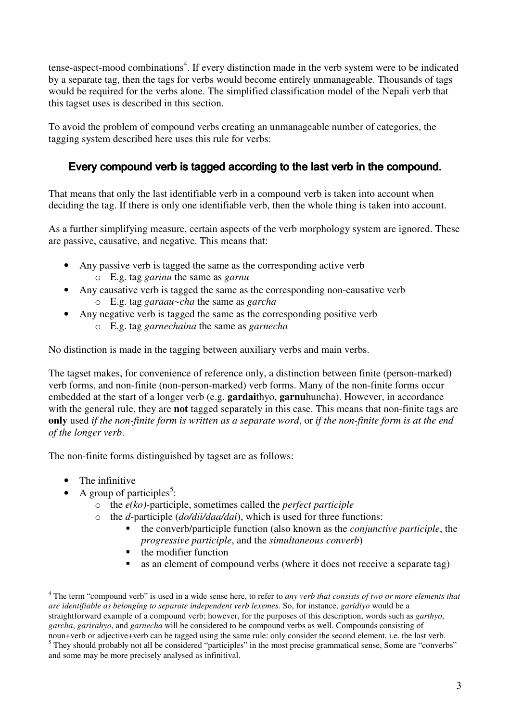tense-aspect-mood combinations<sup>4</sup>. If every distinction made in the verb system were to be indicated by a separate tag, then the tags for verbs would become entirely unmanageable. Thousands of tags would be required for the verbs alone. The simplified classification model of the Nepali verb that this tagset uses is described in this section.

To avoid the problem of compound verbs creating an unmanageable number of categories, the tagging system described here uses this rule for verbs:

#### Every compound verb is tagged according to the last verb in the compound.

That means that only the last identifiable verb in a compound verb is taken into account when deciding the tag. If there is only one identifiable verb, then the whole thing is taken into account.

As a further simplifying measure, certain aspects of the verb morphology system are ignored. These are passive, causative, and negative. This means that:

- Any passive verb is tagged the same as the corresponding active verb o E.g. tag *garinu* the same as *garnu*
- Any causative verb is tagged the same as the corresponding non-causative verb o E.g. tag *garaau~cha* the same as *garcha*
- Any negative verb is tagged the same as the corresponding positive verb o E.g. tag *garnechaina* the same as *garnecha*

No distinction is made in the tagging between auxiliary verbs and main verbs.

The tagset makes, for convenience of reference only, a distinction between finite (person-marked) verb forms, and non-finite (non-person-marked) verb forms. Many of the non-finite forms occur embedded at the start of a longer verb (e.g. **gardai**thyo, **garnu**huncha). However, in accordance with the general rule, they are **not** tagged separately in this case. This means that non-finite tags are only used if the non-finite form is written as a separate word, or if the non-finite form is at the end *of the longer verb*.

The non-finite forms distinguished by tagset are as follows:

- The infinitive
- A group of participles<sup>5</sup>:
	- o the *e(ko)*-participle, sometimes called the *perfect participle*
	- o the *d*-participle (*do/dii/daa/dai*), which is used for three functions:
		- the converb/participle function (also known as the *conjunctive participle*, the *progressive participle*, and the *simultaneous converb*)
		- the modifier function
		- as an element of compound verbs (where it does not receive a separate tag)

<sup>4</sup> The term "compound verb" is used in a wide sense here, to refer to *any verb that consists of two or more elements that are identifiable as belonging to separate independent verb lexemes*. So, for instance, *garidiyo* would be a straightforward example of a compound verb; however, for the purposes of this description, words such as *garthyo*, *garcha*, *garirahyo*, and *garnecha* will be considered to be compound verbs as well. Compounds consisting of noun+verb or adjective+verb can be tagged using the same rule: only consider the second element, i.e. the last verb.

<sup>&</sup>lt;sup>5</sup> They should probably not all be considered "participles" in the most precise grammatical sense, Some are "converbs" and some may be more precisely analysed as infinitival.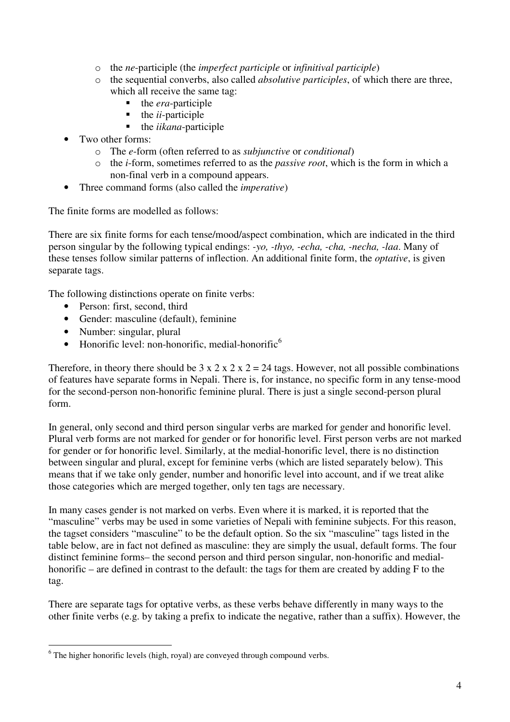- o the *ne*-participle (the *imperfect participle* or *infinitival participle*)
- o the sequential converbs, also called *absolutive participles*, of which there are three, which all receive the same tag:
	- the *era*-participle
	- $\blacksquare$  the *ii*-participle
	- $\blacksquare$  the *iikana*-participle
- Two other forms:
	- o The *e*-form (often referred to as *subjunctive* or *conditional*)
	- o the *i*-form, sometimes referred to as the *passive root*, which is the form in which a non-final verb in a compound appears.
- Three command forms (also called the *imperative*)

The finite forms are modelled as follows:

There are six finite forms for each tense/mood/aspect combination, which are indicated in the third person singular by the following typical endings: *-yo, -thyo, -echa, -cha, -necha, -laa*. Many of these tenses follow similar patterns of inflection. An additional finite form, the *optative*, is given separate tags.

The following distinctions operate on finite verbs:

- Person: first, second, third
- Gender: masculine (default), feminine
- Number: singular, plural
- Honorific level: non-honorific, medial-honorific $^6$

Therefore, in theory there should be  $3 \times 2 \times 2 \times 2 = 24$  tags. However, not all possible combinations of features have separate forms in Nepali. There is, for instance, no specific form in any tense-mood for the second-person non-honorific feminine plural. There is just a single second-person plural form.

In general, only second and third person singular verbs are marked for gender and honorific level. Plural verb forms are not marked for gender or for honorific level. First person verbs are not marked for gender or for honorific level. Similarly, at the medial-honorific level, there is no distinction between singular and plural, except for feminine verbs (which are listed separately below). This means that if we take only gender, number and honorific level into account, and if we treat alike those categories which are merged together, only ten tags are necessary.

In many cases gender is not marked on verbs. Even where it is marked, it is reported that the "masculine" verbs may be used in some varieties of Nepali with feminine subjects. For this reason, the tagset considers "masculine" to be the default option. So the six "masculine" tags listed in the table below, are in fact not defined as masculine: they are simply the usual, default forms. The four distinct feminine forms– the second person and third person singular, non-honorific and medialhonorific – are defined in contrast to the default: the tags for them are created by adding F to the tag.

There are separate tags for optative verbs, as these verbs behave differently in many ways to the other finite verbs (e.g. by taking a prefix to indicate the negative, rather than a suffix). However, the

 $6$  The higher honorific levels (high, royal) are conveyed through compound verbs.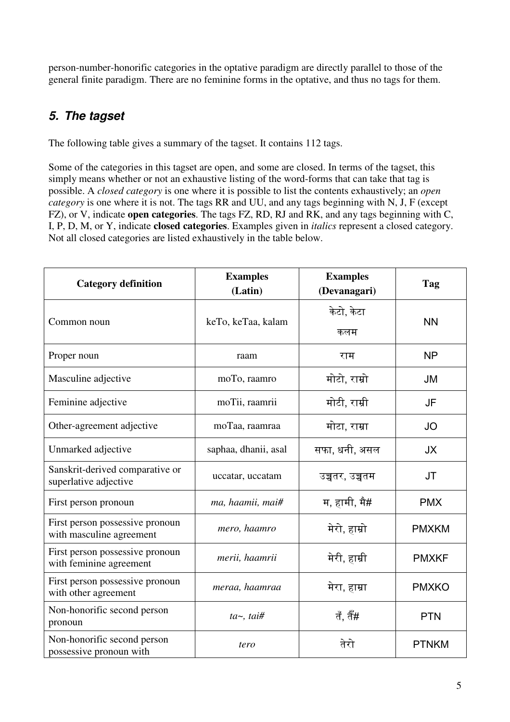person-number-honorific categories in the optative paradigm are directly parallel to those of the general finite paradigm. There are no feminine forms in the optative, and thus no tags for them.

# *5. The tagset*

The following table gives a summary of the tagset. It contains 112 tags.

Some of the categories in this tagset are open, and some are closed. In terms of the tagset, this simply means whether or not an exhaustive listing of the word-forms that can take that tag is possible. A *closed category* is one where it is possible to list the contents exhaustively; an *open category* is one where it is not. The tags RR and UU, and any tags beginning with N, J, F (except FZ), or V, indicate **open categories**. The tags FZ, RD, RJ and RK, and any tags beginning with C, I, P, D, M, or Y, indicate **closed categories**. Examples given in *italics* represent a closed category. Not all closed categories are listed exhaustively in the table below.

| <b>Category definition</b>                                  | <b>Examples</b><br>(Latin) | <b>Examples</b><br>(Devanagari) | Tag          |
|-------------------------------------------------------------|----------------------------|---------------------------------|--------------|
| Common noun                                                 | keTo, keTaa, kalam         | केटो, केटा<br>कलम               | <b>NN</b>    |
| Proper noun                                                 | raam                       | राम                             | <b>NP</b>    |
| Masculine adjective                                         | moTo, raamro               | मोटो, राम्रो                    | JM           |
| Feminine adjective                                          | moTii, raamrii             | मोटी, राम्री                    | JF           |
| Other-agreement adjective                                   | moTaa, raamraa             | मोटा, राम्रा                    | <b>JO</b>    |
| Unmarked adjective                                          | saphaa, dhanii, asal       | सफा, धनी, असल                   | <b>JX</b>    |
| Sanskrit-derived comparative or<br>superlative adjective    | uccatar, uccatam           | उच्चतर, उच्चतम                  | <b>JT</b>    |
| First person pronoun                                        | ma, haamii, mai#           | म, हामी, मै#                    | <b>PMX</b>   |
| First person possessive pronoun<br>with masculine agreement | mero, haamro               | मेरो, हाम्रो                    | <b>PMXKM</b> |
| First person possessive pronoun<br>with feminine agreement  | merii, haamrii             | मेरी, हाम्री                    | <b>PMXKF</b> |
| First person possessive pronoun<br>with other agreement     | meraa, haamraa             | मेरा, हाम्रा                    | <b>PMXKO</b> |
| Non-honorific second person<br>pronoun                      | $ta \sim$ , tai#           | तँ, तैँ#                        | <b>PTN</b>   |
| Non-honorific second person<br>possessive pronoun with      | tero                       | तेरो                            | <b>PTNKM</b> |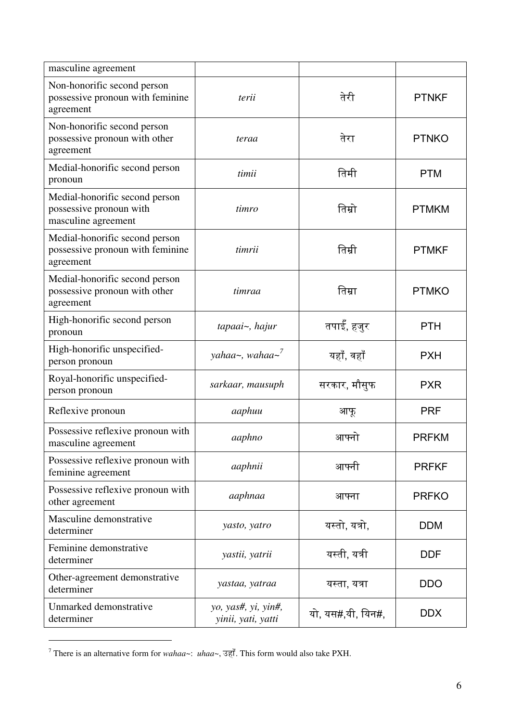| masculine agreement                                                              |                                           |                   |              |
|----------------------------------------------------------------------------------|-------------------------------------------|-------------------|--------------|
| Non-honorific second person<br>possessive pronoun with feminine<br>agreement     | terii                                     | तेरी              | <b>PTNKF</b> |
| Non-honorific second person<br>possessive pronoun with other<br>agreement        | teraa                                     | तेरा              | <b>PTNKO</b> |
| Medial-honorific second person<br>pronoun                                        | timii                                     | तिमी              | <b>PTM</b>   |
| Medial-honorific second person<br>possessive pronoun with<br>masculine agreement | timro                                     | तिम्रो            | <b>PTMKM</b> |
| Medial-honorific second person<br>possessive pronoun with feminine<br>agreement  | timrii                                    | तिम्री            | <b>PTMKF</b> |
| Medial-honorific second person<br>possessive pronoun with other<br>agreement     | timraa                                    | तिम्रा            | <b>PTMKO</b> |
| High-honorific second person<br>pronoun                                          | tapaai~, hajur                            | तपाईं, हजुर       | <b>PTH</b>   |
| High-honorific unspecified-<br>person pronoun                                    | yahaa~, wahaa~ <sup>7</sup>               | यहाँ, वहाँ        | <b>PXH</b>   |
| Royal-honorific unspecified-<br>person pronoun                                   | sarkaar, mausuph                          | सरकार, मौसुफ      | <b>PXR</b>   |
| Reflexive pronoun                                                                | aaphuu                                    | आफू               | <b>PRF</b>   |
| Possessive reflexive pronoun with<br>masculine agreement                         | aaphno                                    | आफ्नो             | <b>PRFKM</b> |
| Possessive reflexive pronoun with<br>feminine agreement                          | aaphnii                                   | आफ्नी             | <b>PRFKF</b> |
| Possessive reflexive pronoun with<br>other agreement                             | aaphnaa                                   | आफ्ना             | <b>PRFKO</b> |
| Masculine demonstrative<br>determiner                                            | yasto, yatro                              | यस्तो, यत्रो,     | <b>DDM</b>   |
| Feminine demonstrative<br>determiner                                             | yastii, yatrii                            | यस्ती, यत्री      | <b>DDF</b>   |
| Other-agreement demonstrative<br>determiner                                      | yastaa, yatraa                            | यस्ता, यत्रा      | <b>DDO</b>   |
| Unmarked demonstrative<br>determiner                                             | yo, yas#, yi, yin#,<br>yinii, yati, yatti | यो, यस#,यी, यिन#, | <b>DDX</b>   |

There is an alternative form for *wahaa* ~: *uhaa* ~,  $\overline{3}$ ,  $\overline{3}$ , This form would also take PXH.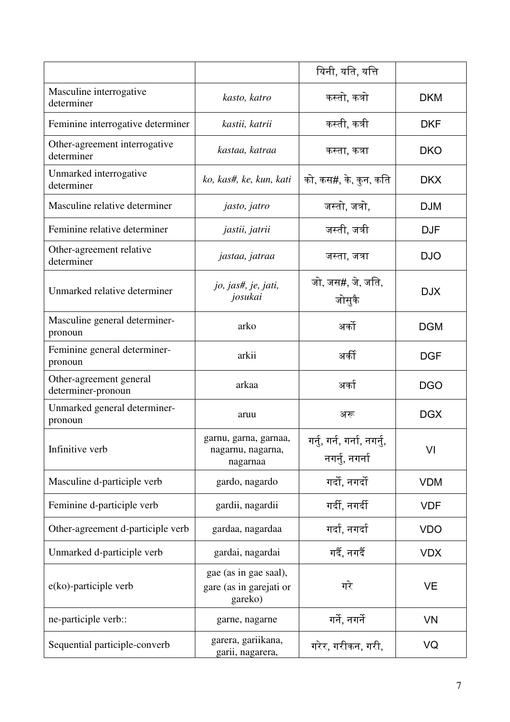|                                               |                                                             | यिनी, यति, यत्ति                              |            |
|-----------------------------------------------|-------------------------------------------------------------|-----------------------------------------------|------------|
| Masculine interrogative<br>determiner         | kasto, katro                                                | कस्तो, कत्रो                                  | <b>DKM</b> |
| Feminine interrogative determiner             | kastii, katrii                                              | कस्ती, कत्री                                  | <b>DKF</b> |
| Other-agreement interrogative<br>determiner   | kastaa, katraa                                              | कस्ता, कत्रा                                  | <b>DKO</b> |
| Unmarked interrogative<br>determiner          | ko, kas#, ke, kun, kati                                     | को, कस#, के, कुन, कति                         | <b>DKX</b> |
| Masculine relative determiner                 | jasto, jatro                                                | जस्तो, जत्रो,                                 | <b>DJM</b> |
| Feminine relative determiner                  | jastii, jatrii                                              | जस्ती, जत्री                                  | <b>DJF</b> |
| Other-agreement relative<br>determiner        | jastaa, jatraa                                              | जस्ता, जत्रा                                  | <b>DJO</b> |
| Unmarked relative determiner                  | jo, jas#, je, jati,<br>josukai                              | जो, जस#, जे, जति,<br>जोसुकै                   | <b>DJX</b> |
| Masculine general determiner-<br>pronoun      | arko                                                        | अर्को                                         | <b>DGM</b> |
| Feminine general determiner-<br>pronoun       | arkii                                                       | अर्की                                         | <b>DGF</b> |
| Other-agreement general<br>determiner-pronoun | arkaa                                                       | अर्का                                         | <b>DGO</b> |
| Unmarked general determiner-<br>pronoun       | aruu                                                        | अरू                                           | <b>DGX</b> |
| Infinitive verb                               | garnu, garna, garnaa,<br>nagarnu, nagarna,<br>nagarnaa      | गर्नु, गर्न, गर्ना, नगर्नु,<br>नगर्नु, नगर्ना | VI         |
| Masculine d-participle verb                   | gardo, nagardo                                              | गर्दो, नगर्दो                                 | <b>VDM</b> |
| Feminine d-participle verb                    | gardii, nagardii                                            | गर्दी, नगर्दी                                 | <b>VDF</b> |
| Other-agreement d-participle verb             | gardaa, nagardaa                                            | गर्दा, नगर्दा                                 | <b>VDO</b> |
| Unmarked d-participle verb                    | gardai, nagardai                                            | गर्दै, नगर्दै                                 | <b>VDX</b> |
| e(ko)-participle verb                         | gae (as in gae saal),<br>gare (as in garejati or<br>gareko) | गरे                                           | <b>VE</b>  |
| ne-participle verb::                          | garne, nagarne                                              | गर्ने, नगर्ने                                 | <b>VN</b>  |
| Sequential participle-converb                 | garera, gariikana,<br>garii, nagarera,                      | गरेर, गरीकन, गरी,                             | VQ         |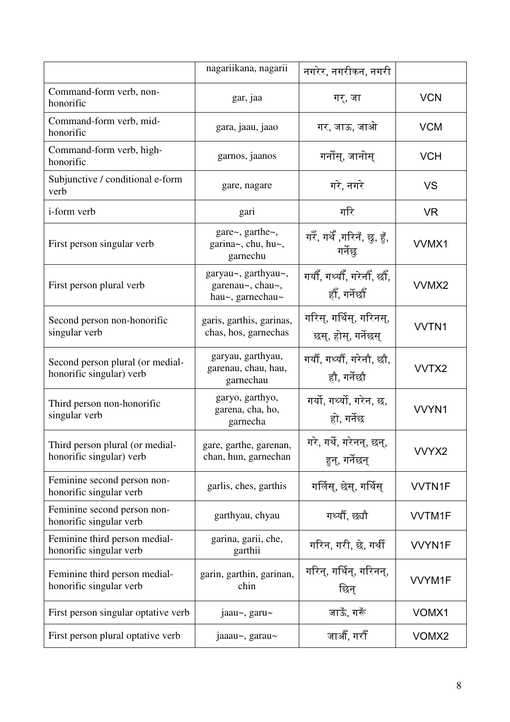|                                                              | nagariikana, nagarii                                            | नगरेर, नगरीकन, नगरी                            |               |
|--------------------------------------------------------------|-----------------------------------------------------------------|------------------------------------------------|---------------|
| Command-form verb, non-<br>honorific                         | gar, jaa                                                        | गर्, जा                                        | <b>VCN</b>    |
| Command-form verb, mid-<br>honorific                         | gara, jaau, jaao                                                | गर, जाऊ, जाओ                                   | <b>VCM</b>    |
| Command-form verb, high-<br>honorific                        | garnos, jaanos                                                  | गर्नोस्, जानोस्                                | <b>VCH</b>    |
| Subjunctive / conditional e-form<br>verb                     | gare, nagare                                                    | गरे, नगरे                                      | <b>VS</b>     |
| <i>i</i> -form verb                                          | gari                                                            | गरि                                            | <b>VR</b>     |
| First person singular verb                                   | gare $\sim$ , garthe $\sim$ ,<br>garina~, chu, hu~,<br>garnechu | गरेँ, गर्थेँ ,गरिनँ, छु, हुँ,<br>गर्नेछ        | VVMX1         |
| First person plural verb                                     | garyau~, garthyau~,<br>garenau~, chau~,<br>hau~, garnechau~     | गयौँ, गर्थ्यौँ, गरेनौँ, छौँ,<br>हौँ, गर्नेछौँ  | VVMX2         |
| Second person non-honorific<br>singular verb                 | garis, garthis, garinas,<br>chas, hos, garnechas                | गरिस्, गर्थिस्, गरिनस्,<br>छस्, होस्, गर्नेछस् | VVTN1         |
| Second person plural (or medial-<br>honorific singular) verb | garyau, garthyau,<br>garenau, chau, hau,<br>garnechau           | गर्यौ, गर्थ्यौ, गरेनौ, छौ,<br>हौ, गर्नेछौ      | VVTX2         |
| Third person non-honorific<br>singular verb                  | garyo, garthyo,<br>garena, cha, ho,<br>garnecha                 | गर्यो, गर्थ्यो, गरेन, छ,<br>हो, गर्नेछ         | VVYN1         |
| Third person plural (or medial-<br>honorific singular) verb  | gare, garthe, garenan,<br>chan, hun, garnechan                  | गरे, गर्थे, गरेनन्, छन्,<br>हुन्, गर्नेछन्     | VVYX2         |
| Feminine second person non-<br>honorific singular verb       | garlis, ches, garthis                                           | गर्लिस्, छेस्, गर्थिस्                         | <b>VVTN1F</b> |
| Feminine second person non-<br>honorific singular verb       | garthyau, chyau                                                 | गर्थ्यौ, छ्यौ                                  | <b>VVTM1F</b> |
| Feminine third person medial-<br>honorific singular verb     | garina, garii, che,<br>garthii                                  | गरिन, गरी, छे, गर्थी                           | <b>VVYN1F</b> |
| Feminine third person medial-<br>honorific singular verb     | garin, garthin, garinan,<br>chin                                | गरिन्, गर्थिन्, गरिनन्,<br>छिन्                | VVYM1F        |
| First person singular optative verb                          | jaau~, garu~                                                    | जाऊँ, गरूँ                                     | VOMX1         |
| First person plural optative verb                            | jaaau~, garau~                                                  | जाऔँ, गरौँ                                     | VOMX2         |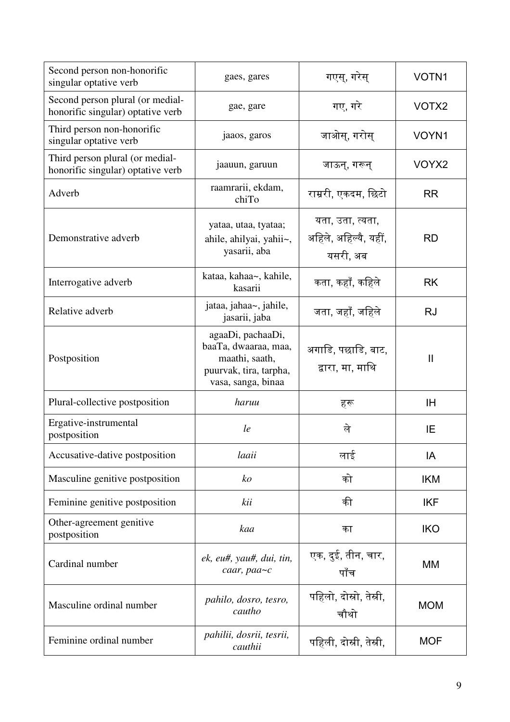| Second person non-honorific<br>singular optative verb                 | gaes, gares                                                                                                 | गएस्, गरेस्                                           | VOTN1        |
|-----------------------------------------------------------------------|-------------------------------------------------------------------------------------------------------------|-------------------------------------------------------|--------------|
| Second person plural (or medial-<br>honorific singular) optative verb | gae, gare                                                                                                   | गए, गरे                                               | VOTX2        |
| Third person non-honorific<br>singular optative verb                  | jaaos, garos                                                                                                | जाओस्, गरोस्                                          | VOYN1        |
| Third person plural (or medial-<br>honorific singular) optative verb  | jaauun, garuun                                                                                              | जाऊन्, गरून्                                          | VOYX2        |
| Adverb                                                                | raamrarii, ekdam,<br>chiTo                                                                                  | राम्ररी, एकदम, छिटो                                   | <b>RR</b>    |
| Demonstrative adverb                                                  | yataa, utaa, tyataa;<br>ahile, ahilyai, yahii~,<br>yasarii, aba                                             | यता, उता, त्यता,<br>अहिले, अहिल्यै, यहीं,<br>यसरी, अब | <b>RD</b>    |
| Interrogative adverb                                                  | kataa, kahaa~, kahile,<br>kasarii                                                                           | कता, कहाँ, कहिले                                      | <b>RK</b>    |
| Relative adverb                                                       | jataa, jahaa~, jahile,<br>jasarii, jaba                                                                     | जता, जहाँ, जहिले                                      | <b>RJ</b>    |
| Postposition                                                          | agaaDi, pachaaDi,<br>baaTa, dwaaraa, maa,<br>maathi, saath,<br>puurvak, tira, tarpha,<br>vasa, sanga, binaa | अगाडि, पछाडि, बाट,<br>द्वारा, मा, माथि                | $\mathbf{I}$ |
| Plural-collective postposition                                        | haruu                                                                                                       | हरू                                                   | IH           |
| Ergative-instrumental<br>postposition                                 | le                                                                                                          | ले                                                    | ΙE           |
| Accusative-dative postposition                                        | laaii                                                                                                       | लाई                                                   | IA           |
| Masculine genitive postposition                                       | ko                                                                                                          | को                                                    | <b>IKM</b>   |
| Feminine genitive postposition                                        | kii                                                                                                         | की                                                    | <b>IKF</b>   |
| Other-agreement genitive<br>postposition                              | kaa                                                                                                         | का                                                    | <b>IKO</b>   |
| Cardinal number                                                       | ek, eu#, yau#, dui, tin,<br>caar, paa~c                                                                     | एक, दुई, तीन, चार,<br>पाँच                            | МM           |
| Masculine ordinal number                                              | pahilo, dosro, tesro,<br>cautho                                                                             | पहिलो, दोस्रो, तेस्री,<br>चौथो                        | <b>MOM</b>   |
| Feminine ordinal number                                               | pahilii, dosrii, tesrii,<br>cauthii                                                                         | पहिली, दोस्री, तेस्री,                                | <b>MOF</b>   |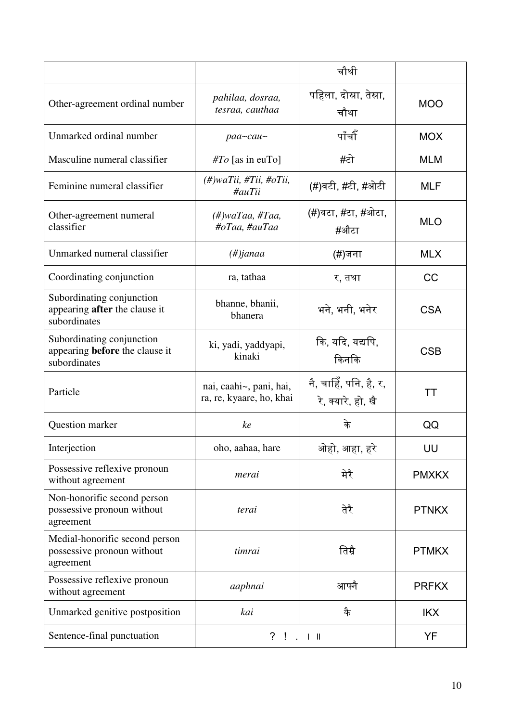|                                                                                    |                                                          | चौथी                                         |              |
|------------------------------------------------------------------------------------|----------------------------------------------------------|----------------------------------------------|--------------|
| Other-agreement ordinal number                                                     | pahilaa, dosraa,<br>tesraa, cauthaa                      | पहिला, दोस्रा, तेस्रा,<br>चौथा               | <b>MOO</b>   |
| Unmarked ordinal number                                                            | $paa$ ~cau~                                              | पाँचौँ                                       | <b>MOX</b>   |
| Masculine numeral classifier                                                       | $\#To$ [as in euTo]                                      | #टो                                          | <b>MLM</b>   |
| Feminine numeral classifier                                                        | (#)waTii, #Tii, #oTii,<br>#auTii                         | (#)वटी, #टी, #ओटी                            | <b>MLF</b>   |
| Other-agreement numeral<br>classifier                                              | $(\#)$ waTaa, #Taa,<br>#oTaa, #auTaa                     | (#)वटा, #टा, #ओटा,<br>#औटा                   | <b>MLO</b>   |
| Unmarked numeral classifier                                                        | $(\#)$ janaa                                             | (#)जना                                       | <b>MLX</b>   |
| Coordinating conjunction                                                           | ra, tathaa                                               | र, तथा                                       | CC           |
| Subordinating conjunction<br>appearing <b>after</b> the clause it<br>subordinates  | bhanne, bhanii,<br>bhanera                               | भने, भनी, भनेर                               | <b>CSA</b>   |
| Subordinating conjunction<br>appearing <b>before</b> the clause it<br>subordinates | ki, yadi, yaddyapi,<br>kinaki                            | कि, यदि, यद्यपि,<br>किनकि                    | <b>CSB</b>   |
| Particle                                                                           | nai, caahi~, pani, hai,<br>ra, re, kyaare, ho, khai      | नै, चाहिँ, पनि, है, र,<br>रे, क्यारे, हो, खै | TT           |
| Question marker                                                                    | ke                                                       | के                                           | QQ           |
| Interjection                                                                       | oho, aahaa, hare                                         | ओहो, आहा, हरे                                | UU           |
| Possessive reflexive pronoun<br>without agreement                                  | merai                                                    | मेरै                                         | <b>PMXKX</b> |
| Non-honorific second person<br>possessive pronoun without<br>agreement             | terai                                                    | तेरै                                         | <b>PTNKX</b> |
| Medial-honorific second person<br>possessive pronoun without<br>agreement          | timrai                                                   | तिम्रै                                       | <b>PTMKX</b> |
| Possessive reflexive pronoun<br>without agreement                                  | aaphnai                                                  | आफ्नै                                        | <b>PRFKX</b> |
| Unmarked genitive postposition                                                     | kai                                                      | कै                                           | <b>IKX</b>   |
| Sentence-final punctuation                                                         | $\overline{?}$<br>$\mathbf{I}$<br>$\therefore$ $\perp$ H |                                              | YF           |